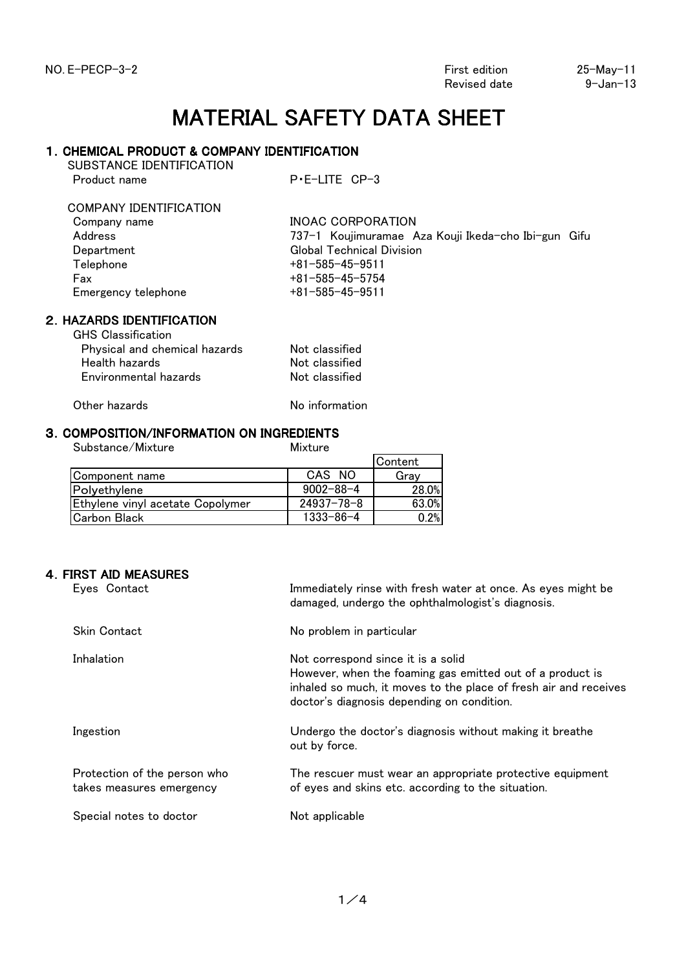Revised date 9-Jan-13

## MATERIAL SAFETY DATA SHEET

## 1.CHEMICAL PRODUCT & COMPANY IDENTIFICATION

SUBSTANCE IDENTIFICATION Product name P·E-LITE CP-3

# COMPANY IDENTIFICATION

| Company name        | INOAC CORPORATION                                   |
|---------------------|-----------------------------------------------------|
| Address             | 737-1 Koujimuramae Aza Kouji Ikeda-cho Ibi-gun Gifu |
| Department          | <b>Global Technical Division</b>                    |
| Telephone           | $+81 - 585 - 45 - 9511$                             |
| Fax                 | $+81 - 585 - 45 - 5754$                             |
| Emergency telephone | $+81 - 585 - 45 - 9511$                             |

## 2.HAZARDS IDENTIFICATION

| <b>GHS</b> Classification     |                |
|-------------------------------|----------------|
| Physical and chemical hazards | Not classified |
| Health hazards                | Not classified |
| Environmental hazards         | Not classified |
|                               |                |

Other hazards No information

## 3.COMPOSITION/INFORMATION ON INGREDIENTS

Substance/Mixture Mixture

|                                  |                  | Content |
|----------------------------------|------------------|---------|
| Component name                   | CAS NO           | Grav    |
| Polyethylene                     | $9002 - 88 - 4$  | 28.0%   |
| Ethylene vinyl acetate Copolymer | $24937 - 78 - 8$ | 63.0%   |
| Carbon Black                     | $1333 - 86 - 4$  | 0.2%    |
|                                  |                  |         |

## 4.FIRST AID MEASURES

| Eves Contact                                             | Immediately rinse with fresh water at once. As eyes might be<br>damaged, undergo the ophthalmologist's diagnosis.                                                                                                 |
|----------------------------------------------------------|-------------------------------------------------------------------------------------------------------------------------------------------------------------------------------------------------------------------|
| <b>Skin Contact</b>                                      | No problem in particular                                                                                                                                                                                          |
| Inhalation                                               | Not correspond since it is a solid<br>However, when the foaming gas emitted out of a product is<br>inhaled so much, it moves to the place of fresh air and receives<br>doctor's diagnosis depending on condition. |
| Ingestion                                                | Undergo the doctor's diagnosis without making it breathe<br>out by force.                                                                                                                                         |
| Protection of the person who<br>takes measures emergency | The rescuer must wear an appropriate protective equipment<br>of eyes and skins etc. according to the situation.                                                                                                   |
| Special notes to doctor                                  | Not applicable                                                                                                                                                                                                    |
|                                                          |                                                                                                                                                                                                                   |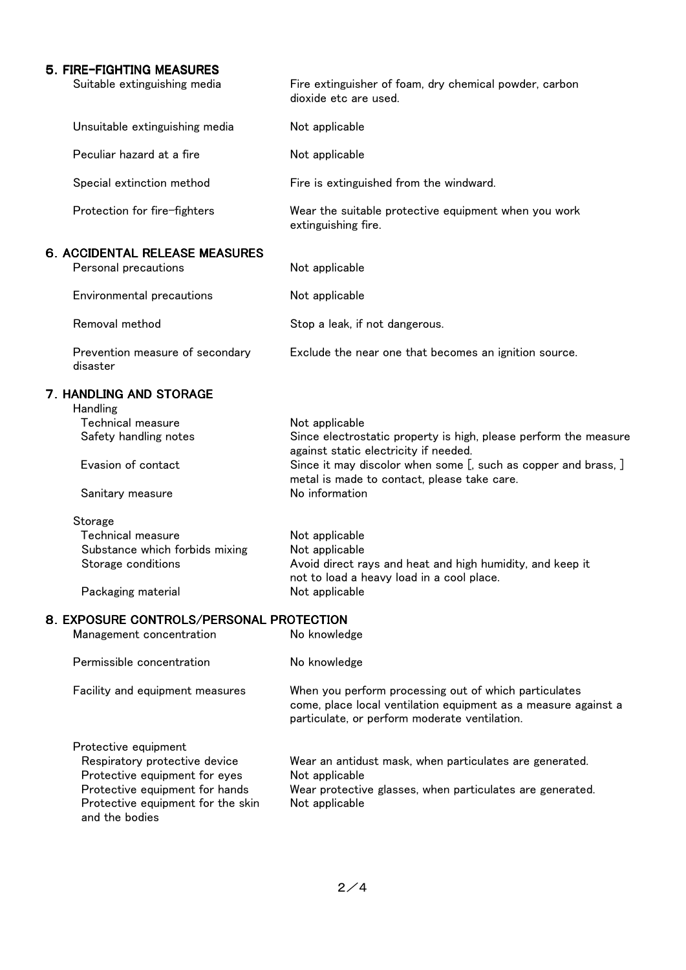## 5.FIRE-FIGHTING MEASURES

| Suitable extinguishing media                                                                                                                                                    | Fire extinguisher of foam, dry chemical powder, carbon<br>dioxide etc are used.                                                                                                                                                                                |
|---------------------------------------------------------------------------------------------------------------------------------------------------------------------------------|----------------------------------------------------------------------------------------------------------------------------------------------------------------------------------------------------------------------------------------------------------------|
| Unsuitable extinguishing media                                                                                                                                                  | Not applicable                                                                                                                                                                                                                                                 |
| Peculiar hazard at a fire                                                                                                                                                       | Not applicable                                                                                                                                                                                                                                                 |
| Special extinction method                                                                                                                                                       | Fire is extinguished from the windward.                                                                                                                                                                                                                        |
| Protection for fire-fighters                                                                                                                                                    | Wear the suitable protective equipment when you work<br>extinguishing fire.                                                                                                                                                                                    |
| 6. ACCIDENTAL RELEASE MEASURES<br>Personal precautions                                                                                                                          | Not applicable                                                                                                                                                                                                                                                 |
| Environmental precautions                                                                                                                                                       | Not applicable                                                                                                                                                                                                                                                 |
| Removal method                                                                                                                                                                  | Stop a leak, if not dangerous.                                                                                                                                                                                                                                 |
| Prevention measure of secondary<br>disaster                                                                                                                                     | Exclude the near one that becomes an ignition source.                                                                                                                                                                                                          |
| 7. HANDLING AND STORAGE<br>Handling<br><b>Technical measure</b><br>Safety handling notes<br>Evasion of contact<br>Sanitary measure                                              | Not applicable<br>Since electrostatic property is high, please perform the measure<br>against static electricity if needed.<br>Since it may discolor when some [, such as copper and brass, ]<br>metal is made to contact, please take care.<br>No information |
| Storage<br><b>Technical measure</b><br>Substance which forbids mixing<br>Storage conditions<br>Packaging material                                                               | Not applicable<br>Not applicable<br>Avoid direct rays and heat and high humidity, and keep it<br>not to load a heavy load in a cool place.<br>Not applicable                                                                                                   |
| 8. EXPOSURE CONTROLS/PERSONAL PROTECTION                                                                                                                                        |                                                                                                                                                                                                                                                                |
| Management concentration                                                                                                                                                        | No knowledge                                                                                                                                                                                                                                                   |
| Permissible concentration                                                                                                                                                       | No knowledge                                                                                                                                                                                                                                                   |
| Facility and equipment measures                                                                                                                                                 | When you perform processing out of which particulates<br>come, place local ventilation equipment as a measure against a<br>particulate, or perform moderate ventilation.                                                                                       |
| Protective equipment<br>Respiratory protective device<br>Protective equipment for eyes<br>Protective equipment for hands<br>Protective equipment for the skin<br>and the bodies | Wear an antidust mask, when particulates are generated.<br>Not applicable<br>Wear protective glasses, when particulates are generated.<br>Not applicable                                                                                                       |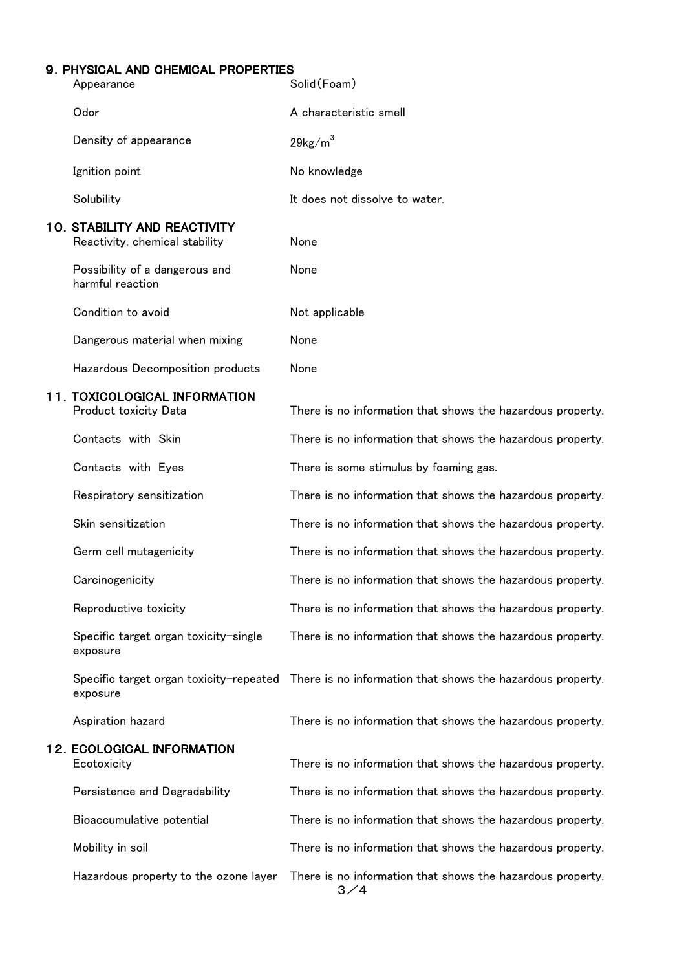## 9.PHYSICAL AND CHEMICAL PROPERTIES

| Appearance                                                            | Solid (Foam)                                               |
|-----------------------------------------------------------------------|------------------------------------------------------------|
| Odor                                                                  | A characteristic smell                                     |
| Density of appearance                                                 | $29$ kg/m <sup>3</sup>                                     |
| Ignition point                                                        | No knowledge                                               |
| Solubility                                                            | It does not dissolve to water.                             |
| <b>10. STABILITY AND REACTIVITY</b><br>Reactivity, chemical stability | None                                                       |
| Possibility of a dangerous and<br>harmful reaction                    | None                                                       |
| Condition to avoid                                                    | Not applicable                                             |
| Dangerous material when mixing                                        | None                                                       |
| Hazardous Decomposition products                                      | None                                                       |
| 11. TOXICOLOGICAL INFORMATION<br><b>Product toxicity Data</b>         | There is no information that shows the hazardous property. |
| Contacts with Skin                                                    | There is no information that shows the hazardous property. |
| Contacts with Eyes                                                    | There is some stimulus by foaming gas.                     |
| Respiratory sensitization                                             | There is no information that shows the hazardous property. |
| Skin sensitization                                                    | There is no information that shows the hazardous property. |
| Germ cell mutagenicity                                                | There is no information that shows the hazardous property. |
| Carcinogenicity                                                       | There is no information that shows the hazardous property. |
| Reproductive toxicity                                                 | There is no information that shows the hazardous property. |
| Specific target organ toxicity-single<br>exposure                     | There is no information that shows the hazardous property. |
| Specific target organ toxicity-repeated<br>exposure                   | There is no information that shows the hazardous property. |
| Aspiration hazard                                                     | There is no information that shows the hazardous property. |
| <b>12. ECOLOGICAL INFORMATION</b><br>Ecotoxicity                      | There is no information that shows the hazardous property. |
| Persistence and Degradability                                         | There is no information that shows the hazardous property. |
| Bioaccumulative potential                                             | There is no information that shows the hazardous property. |
| Mobility in soil                                                      | There is no information that shows the hazardous property. |
| Hazardous property to the ozone layer                                 | There is no information that shows the hazardous property. |